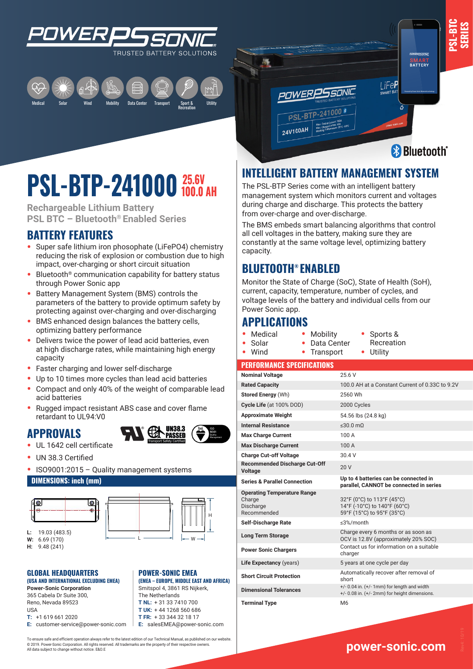



## **PSL-BTP-241000**  $\frac{25.6V}{100.0 AH}$

**Rechargeable Lithium Battery PSL BTC – Bluetooth® Enabled Series**

## **BATTERY FEATURES**

- **•** Super safe lithium iron phosophate (LiFePO4) chemistry reducing the risk of explosion or combustion due to high impact, over-charging or short circuit situation
- **•** Bluetooth® communication capability for battery status through Power Sonic app
- **•** Battery Management System (BMS) controls the parameters of the battery to provide optimum safety by protecting against over-charging and over-discharging
- **•** BMS enhanced design balances the battery cells, optimizing battery performance
- **•** Delivers twice the power of lead acid batteries, even at high discharge rates, while maintaining high energy capacity
- **•** Faster charging and lower self-discharge
- **•** Up to 10 times more cycles than lead acid batteries
- **•** Compact and only 40% of the weight of comparable lead acid batteries
- **•** Rugged impact resistant ABS case and cover flame retardant to UL94:V0

#### **APPROVALS**



H

H

- **•** UL 1642 cell certificate
- **•** UN 38.3 Certified
- **•** ISO9001:2015 Quality management systems

#### **DIMENSIONS: inch (mm)**





**POWER-SONIC EMEA** 

**(EMEA – EUROPE, MIDDLE EAST AND AFRICA)** Smitspol 4, 3861 RS Nijkerk, The Netherlands **T NL:** + 31 33 7410 700 **T UK:** + 44 1268 560 686 **T FR:** + 33 344 32 18 17 **E:** salesEMEA@power-sonic.com

#### L **GLOBAL HEADQUARTERS (USA AND INTERNATIONAL EXCLUDING EMEA)**

**Power-Sonic Corporation** 365 Cabela Dr Suite 300, Reno, Nevada 89523 USA **T:** +1 619 661 2020

**E:** customer-service@power-sonic.com

To ensure safe and efficient operation always refer to the latest edition of our Technical Manual, as published on our website. © 2019. Power-Sonic Corporation. All rights reserved. All trademarks are the property of their respective owners. All data subject to change without notice. E&O.E





**SMART**<br>BATTERY

## **INTELLIGENT BATTERY MANAGEMENT SYSTEM**

The PSL-BTP Series come with an intelligent battery management system which monitors current and voltages during charge and discharge. This protects the battery from over-charge and over-discharge.

The BMS embeds smart balancing algorithms that control all cell voltages in the battery, making sure they are constantly at the same voltage level, optimizing battery capacity.

## **BLUETOOTH® ENABLED**

Monitor the State of Charge (SoC), State of Health (SoH), current, capacity, temperature, number of cycles, and voltage levels of the battery and individual cells from our Power Sonic app.

### **APPLICATIONS**

**•** Medical **•** Solar

**•** Wind

- **•** Mobility **•** Data Center **•** Transport
- **•** Sports & Recreation **•** Utility

#### **PERFORMANCE SPECIFICATIONS**

| <b>Nominal Voltage</b>                                                   | 25.6 V                                                                                                |
|--------------------------------------------------------------------------|-------------------------------------------------------------------------------------------------------|
| <b>Rated Capacity</b>                                                    | 100.0 AH at a Constant Current of 0.33C to 9.2V                                                       |
| <b>Stored Energy (Wh)</b>                                                | 2560 Wh                                                                                               |
| Cycle Life (at 100% DOD)                                                 | 2000 Cycles                                                                                           |
| <b>Approximate Weight</b>                                                | 54.56 lbs (24.8 kg)                                                                                   |
| <b>Internal Resistance</b>                                               | $\leq 30.0$ mQ                                                                                        |
| <b>Max Charge Current</b>                                                | 100 A                                                                                                 |
| <b>Max Discharge Current</b>                                             | 100 A                                                                                                 |
| <b>Charge Cut-off Voltage</b>                                            | 30.4 V                                                                                                |
| <b>Recommended Discharge Cut-Off</b><br><b>Voltage</b>                   | 20 V                                                                                                  |
| <b>Series &amp; Parallel Connection</b>                                  | Up to 4 batteries can be connected in<br>parallel, CANNOT be connected in series                      |
| <b>Operating Temperature Range</b><br>Charge<br>Discharge<br>Recommended | 32°F (0°C) to 113°F (45°C)<br>14°F (-10°C) to 140°F (60°C)<br>59°F (15°C) to 95°F (35°C)              |
| <b>Self-Discharge Rate</b>                                               | ≤3%/month                                                                                             |
| <b>Long Term Storage</b>                                                 | Charge every 6 months or as soon as<br>OCV is 12.8V (approximately 20% SOC)                           |
| <b>Power Sonic Chargers</b>                                              | Contact us for information on a suitable<br>charger                                                   |
| Life Expectancy (years)                                                  | 5 years at one cycle per day                                                                          |
| <b>Short Circuit Protection</b>                                          | Automatically recover after removal of<br>short                                                       |
| <b>Dimensional Tolerances</b>                                            | $+/- 0.04$ in. $(+/- 1$ mm) for length and width<br>$+/- 0.08$ in. $(+/- 2mm)$ for height dimensions. |
| <b>Terminal Type</b>                                                     | M <sub>6</sub>                                                                                        |

## **www.power-sonic.com**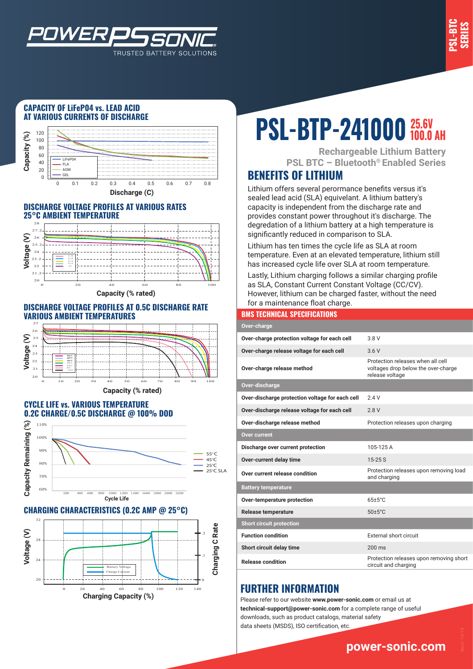



#### **CAPACITY OF LiFeP04 vs. LEAD ACID AT VARIOUS CURRENTS OF DISCHARGE**



TRUSTED BATTERY SOLUTIONS

#### **DISCHARGE VOLTAGE PROFILES AT VARIOUS RATES 25°C AMBIENT TEMPERATURE**



#### **DISCHARGE VOLTAGE PROFILES AT 0.5C DISCHARGE RATE VARIOUS AMBIENT TEMPERATURES**



#### **CYCLE LIFE vs. VARIOUS TEMPERATURE 0.2C CHARGE/0.5C DISCHARGE @ 100% DOD**



**CHARGING CHARACTERISTICS (0.2C AMP @ 25°C)**



# **PSL-BTP-241000**  $\frac{25.6V}{100.0 AH}$

**Rechargeable Lithium Battery PSL BTC – Bluetooth® Enabled Series**

## **BENEFITS OF LITHIUM**

Lithium offers several perormance benefits versus it's sealed lead acid (SLA) equivelant. A lithium battery's capacity is independent from the discharge rate and provides constant power throughout it's discharge. The degredation of a lithium battery at a high temperature is significantly reduced in comparison to SLA.

Lithium has ten times the cycle life as SLA at room temperature. Even at an elevated temperature, lithium still has increased cycle life over SLA at room temperature.

Lastly, Lithium charging follows a similar charging profile as SLA, Constant Current Constant Voltage (CC/CV). However, lithium can be charged faster, without the need for a maintenance float charge.

#### **BMS TECHNICAL SPECIFICATIONS**

| Over-charge                                     |                                                                                             |
|-------------------------------------------------|---------------------------------------------------------------------------------------------|
| Over-charge protection voltage for each cell    | 3 8 V                                                                                       |
| Over-charge release voltage for each cell       | 3.6V                                                                                        |
| Over-charge release method                      | Protection releases when all cell<br>voltages drop below the over-charge<br>release voltage |
| Over-discharge                                  |                                                                                             |
| Over-discharge protection voltage for each cell | 24V                                                                                         |
| Over-discharge release voltage for each cell    | 28V                                                                                         |
| Over-discharge release method                   | Protection releases upon charging                                                           |
| <b>Over current</b>                             |                                                                                             |
| Discharge over current protection               | 105-125 A                                                                                   |
| Over-current delay time                         | $15 - 25S$                                                                                  |
| Over current release condition                  | Protection releases upon removing load<br>and charging                                      |
| <b>Battery temperature</b>                      |                                                                                             |
| Over-temperature protection                     | $65+5^{\circ}$ C                                                                            |
| <b>Release temperature</b>                      | $50 \pm 5^{\circ}$ C                                                                        |
| <b>Short circuit protection</b>                 |                                                                                             |
| <b>Function condition</b>                       | External short circuit                                                                      |
| Short circuit delay time                        | $200 \text{ ms}$                                                                            |
| <b>Release condition</b>                        | Protection releases upon removing short<br>circuit and charging                             |

## **FURTHER INFORMATION**

Please refer to our website **www.power-sonic.com** or email us at **technical-support@power-sonic.com** for a complete range of useful downloads, such as product catalogs, material safety data sheets (MSDS), ISO certification, etc.